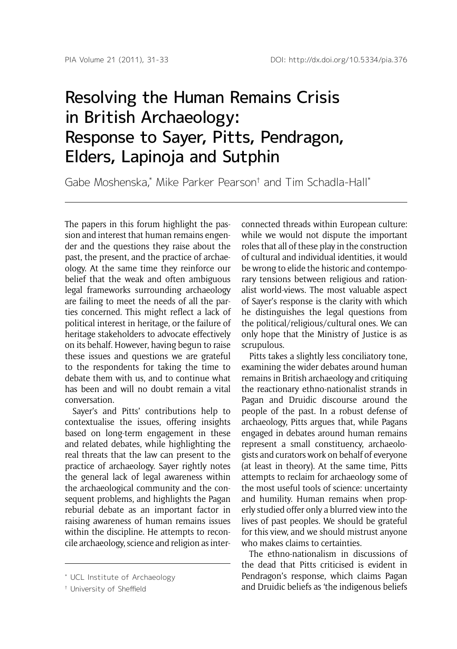## Resolving the Human Remains Crisis in British Archaeology: Response to Sayer, Pitts, Pendragon, Elders, Lapinoja and Sutphin

Gabe Moshenska,\* Mike Parker Pearson† and Tim Schadla-Hall\*

The papers in this forum highlight the passion and interest that human remains engender and the questions they raise about the past, the present, and the practice of archaeology. At the same time they reinforce our belief that the weak and often ambiguous legal frameworks surrounding archaeology are failing to meet the needs of all the parties concerned. This might reflect a lack of political interest in heritage, or the failure of heritage stakeholders to advocate effectively on its behalf. However, having begun to raise these issues and questions we are grateful to the respondents for taking the time to debate them with us, and to continue what has been and will no doubt remain a vital conversation.

Sayer's and Pitts' contributions help to contextualise the issues, offering insights based on long-term engagement in these and related debates, while highlighting the real threats that the law can present to the practice of archaeology. Sayer rightly notes the general lack of legal awareness within the archaeological community and the consequent problems, and highlights the Pagan reburial debate as an important factor in raising awareness of human remains issues within the discipline. He attempts to reconcile archaeology, science and religion as interconnected threads within European culture: while we would not dispute the important roles that all of these play in the construction of cultural and individual identities, it would be wrong to elide the historic and contemporary tensions between religious and rationalist world-views. The most valuable aspect of Sayer's response is the clarity with which he distinguishes the legal questions from the political/religious/cultural ones. We can only hope that the Ministry of Justice is as scrupulous.

Pitts takes a slightly less conciliatory tone, examining the wider debates around human remains in British archaeology and critiquing the reactionary ethno-nationalist strands in Pagan and Druidic discourse around the people of the past. In a robust defense of archaeology, Pitts argues that, while Pagans engaged in debates around human remains represent a small constituency, archaeologists and curators work on behalf of everyone (at least in theory). At the same time, Pitts attempts to reclaim for archaeology some of the most useful tools of science: uncertainty and humility. Human remains when properly studied offer only a blurred view into the lives of past peoples. We should be grateful for this view, and we should mistrust anyone who makes claims to certainties.

The ethno-nationalism in discussions of the dead that Pitts criticised is evident in Pendragon's response, which claims Pagan and Druidic beliefs as 'the indigenous beliefs

<sup>\*</sup> UCL Institute of Archaeology

<sup>†</sup> University of Sheffield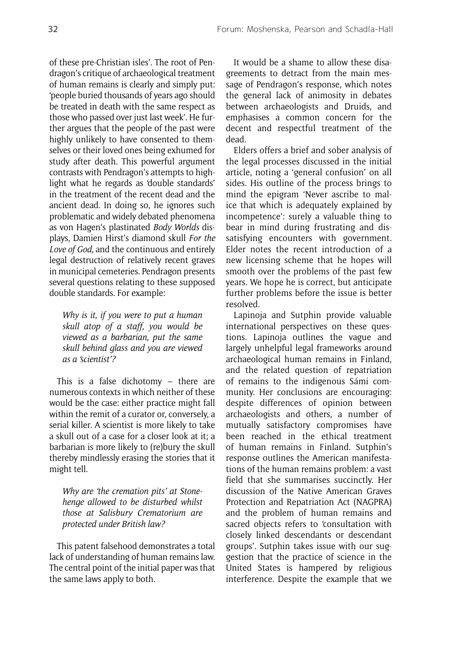of these pre-Christian isles'. The root of Pendragon's critique of archaeological treatment of human remains is clearly and simply put: 'people buried thousands of years ago should be treated in death with the same respect as those who passed over just last week'. He further argues that the people of the past were highly unlikely to have consented to themselves or their loved ones being exhumed for study after death. This powerful argument contrasts with Pendragon's attempts to highlight what he regards as 'double standards' in the treatment of the recent dead and the ancient dead. In doing so, he ignores such problematic and widely debated phenomena as von Hagen's plastinated *Body Worlds* displays, Damien Hirst's diamond skull *For the Love of God,* and the continuous and entirely legal destruction of relatively recent graves in municipal cemeteries. Pendragon presents several questions relating to these supposed double standards. For example:

*Why is it, if you were to put a human skull atop of a staff, you would be viewed as a barbarian, put the same skull behind glass and you are viewed as a 'scientist'?*

This is a false dichotomy – there are numerous contexts in which neither of these would be the case: either practice might fall within the remit of a curator or, conversely, a serial killer. A scientist is more likely to take a skull out of a case for a closer look at it; a barbarian is more likely to (re)bury the skull thereby mindlessly erasing the stories that it might tell.

*Why are 'the cremation pits' at Stonehenge allowed to be disturbed whilst those at Salisbury Crematorium are protected under British law?*

This patent falsehood demonstrates a total lack of understanding of human remains law. The central point of the initial paper was that the same laws apply to both.

It would be a shame to allow these disagreements to detract from the main message of Pendragon's response, which notes the general lack of animosity in debates between archaeologists and Druids, and emphasises a common concern for the decent and respectful treatment of the dead.

Elders offers a brief and sober analysis of the legal processes discussed in the initial article, noting a 'general confusion' on all sides. His outline of the process brings to mind the epigram 'Never ascribe to malice that which is adequately explained by incompetence': surely a valuable thing to bear in mind during frustrating and dissatisfying encounters with government. Elder notes the recent introduction of a new licensing scheme that he hopes will smooth over the problems of the past few years. We hope he is correct, but anticipate further problems before the issue is better resolved.

Lapinoja and Sutphin provide valuable international perspectives on these questions. Lapinoja outlines the vague and largely unhelpful legal frameworks around archaeological human remains in Finland, and the related question of repatriation of remains to the indigenous Sámi community. Her conclusions are encouraging: despite differences of opinion between archaeologists and others, a number of mutually satisfactory compromises have been reached in the ethical treatment of human remains in Finland. Sutphin's response outlines the American manifestations of the human remains problem: a vast field that she summarises succinctly. Her discussion of the Native American Graves Protection and Repatriation Act (NAGPRA) and the problem of human remains and sacred objects refers to 'consultation with closely linked descendants or descendant groups'. Sutphin takes issue with our suggestion that the practice of science in the United States is hampered by religious interference. Despite the example that we